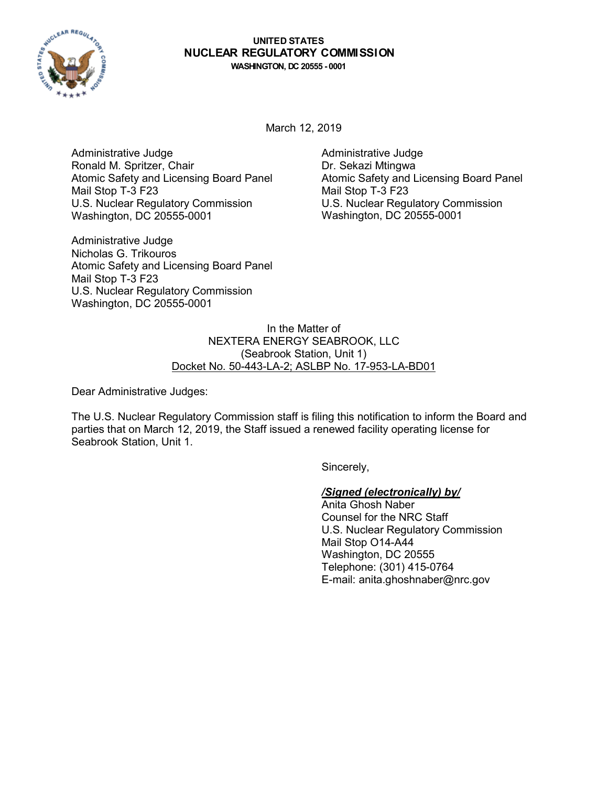

# **UNITED STATES NUCLEAR REGULATORY COMMISSION**

**WASHINGTON, DC 20555 - 0001**

March 12, 2019

Administrative Judge Ronald M. Spritzer, Chair Atomic Safety and Licensing Board Panel Mail Stop T-3 F23 U.S. Nuclear Regulatory Commission Washington, DC 20555-0001

Administrative Judge Nicholas G. Trikouros Atomic Safety and Licensing Board Panel Mail Stop T-3 F23 U.S. Nuclear Regulatory Commission Washington, DC 20555-0001

Administrative Judge Dr. Sekazi Mtingwa Atomic Safety and Licensing Board Panel Mail Stop T-3 F23 U.S. Nuclear Regulatory Commission Washington, DC 20555-0001

In the Matter of NEXTERA ENERGY SEABROOK, LLC (Seabrook Station, Unit 1) Docket No. 50-443-LA-2; ASLBP No. 17-953-LA-BD01

Dear Administrative Judges:

The U.S. Nuclear Regulatory Commission staff is filing this notification to inform the Board and parties that on March 12, 2019, the Staff issued a renewed facility operating license for Seabrook Station, Unit 1.

Sincerely,

## */Signed (electronically) by/*

Anita Ghosh Naber Counsel for the NRC Staff U.S. Nuclear Regulatory Commission Mail Stop O14-A44 Washington, DC 20555 Telephone: (301) 415-0764 E-mail: anita.ghoshnaber@nrc.gov